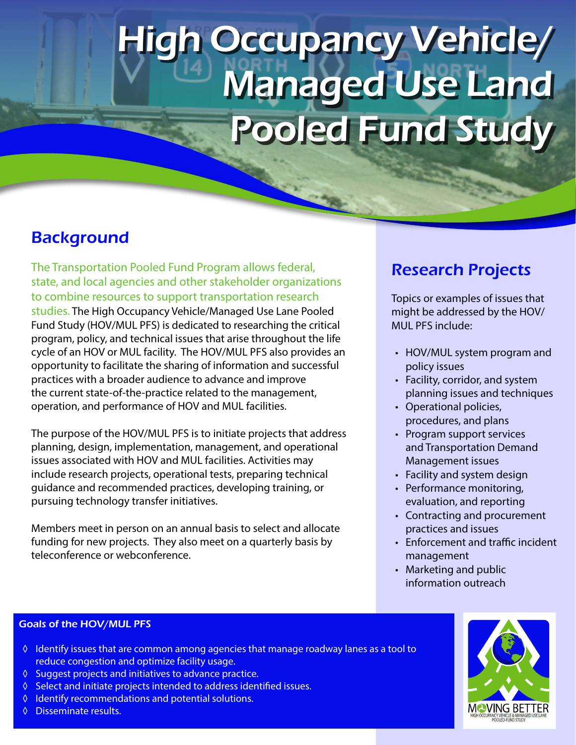# High Occupancy Vehicle/ Managed Use Land Pooled Fund Study

## **Background**

The Transportation Pooled Fund Program allows federal, state, and local agencies and other stakeholder organizations to combine resources to support transportation research studies. The High Occupancy Vehicle/Managed Use Lane Pooled Fund Study (HOV/MUL PFS) is dedicated to researching the critical program, policy, and technical issues that arise throughout the life cycle of an HOV or MUL facility. The HOV/MUL PFS also provides an opportunity to facilitate the sharing of information and successful practices with a broader audience to advance and improve the current state-of-the-practice related to the management, operation, and performance of HOV and MUL facilities.

The purpose of the HOV/MUL PFS is to initiate projects that address planning, design, implementation, management, and operational issues associated with HOV and MUL facilities. Activities may include research projects, operational tests, preparing technical guidance and recommended practices, developing training, or pursuing technology transfer initiatives.

Members meet in person on an annual basis to select and allocate funding for new projects. They also meet on a quarterly basis by teleconference or webconference.

# Research Projects

Topics or examples of issues that might be addressed by the HOV/ MUL PFS include:

- HOV/MUL system program and policy issues
- Facility, corridor, and system planning issues and techniques
- Operational policies, procedures, and plans
- Program support services and Transportation Demand Management issues
- Facility and system design
- Performance monitoring, evaluation, and reporting
- Contracting and procurement practices and issues
- Enforcement and traffic incident management
- Marketing and public information outreach

#### Goals of the HOV/MUL PFS

- ◊ Identify issues that are common among agencies that manage roadway lanes as a tool to reduce congestion and optimize facility usage.
- ◊ Suggest projects and initiatives to advance practice.
- ◊ Select and initiate projects intended to address identified issues.
- ◊ Identify recommendations and potential solutions.
- ◊ Disseminate results.